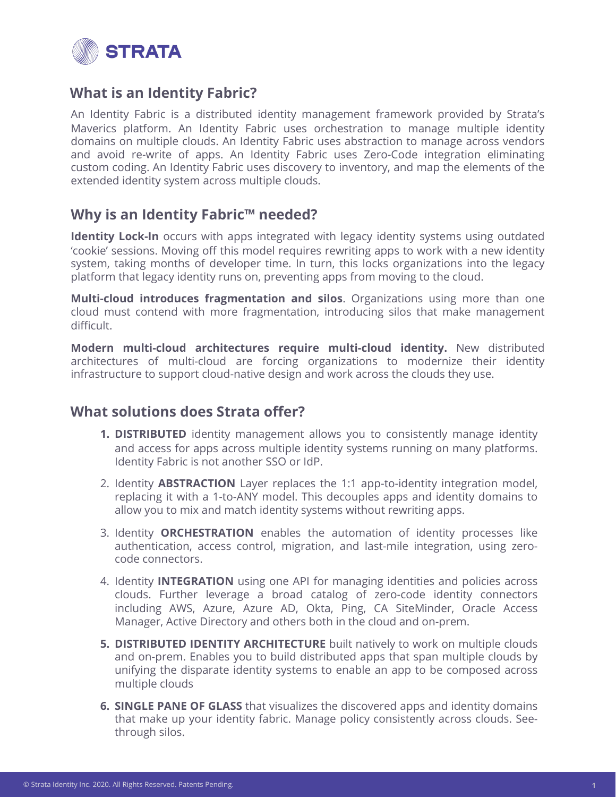

# **What is an Identity Fabric?**

An Identity Fabric is a distributed identity management framework provided by Strata's Maverics platform. An Identity Fabric uses orchestration to manage multiple identity domains on multiple clouds. An Identity Fabric uses abstraction to manage across vendors and avoid re-write of apps. An Identity Fabric uses Zero-Code integration eliminating custom coding. An Identity Fabric uses discovery to inventory, and map the elements of the extended identity system across multiple clouds.

# **Why is an Identity Fabric™ needed?**

**Identity Lock-In** occurs with apps integrated with legacy identity systems using outdated 'cookie' sessions. Moving off this model requires rewriting apps to work with a new identity system, taking months of developer time. In turn, this locks organizations into the legacy platform that legacy identity runs on, preventing apps from moving to the cloud.

**Multi-cloud introduces fragmentation and silos**. Organizations using more than one cloud must contend with more fragmentation, introducing silos that make management difficult.

**Modern multi-cloud architectures require multi-cloud identity.** New distributed architectures of multi-cloud are forcing organizations to modernize their identity infrastructure to support cloud-native design and work across the clouds they use.

# **What solutions does Strata offer?**

- **1. DISTRIBUTED** identity management allows you to consistently manage identity and access for apps across multiple identity systems running on many platforms. Identity Fabric is not another SSO or IdP.
- 2. Identity **ABSTRACTION** Layer replaces the 1:1 app-to-identity integration model, replacing it with a 1-to-ANY model. This decouples apps and identity domains to allow you to mix and match identity systems without rewriting apps.
- 3. Identity **ORCHESTRATION** enables the automation of identity processes like authentication, access control, migration, and last-mile integration, using zerocode connectors.
- 4. Identity **INTEGRATION** using one API for managing identities and policies across clouds. Further leverage a broad catalog of zero-code identity connectors including AWS, Azure, Azure AD, Okta, Ping, CA SiteMinder, Oracle Access Manager, Active Directory and others both in the cloud and on-prem.
- **5. DISTRIBUTED IDENTITY ARCHITECTURE** built natively to work on multiple clouds and on-prem. Enables you to build distributed apps that span multiple clouds by unifying the disparate identity systems to enable an app to be composed across multiple clouds
- **6. SINGLE PANE OF GLASS** that visualizes the discovered apps and identity domains that make up your identity fabric. Manage policy consistently across clouds. Seethrough silos.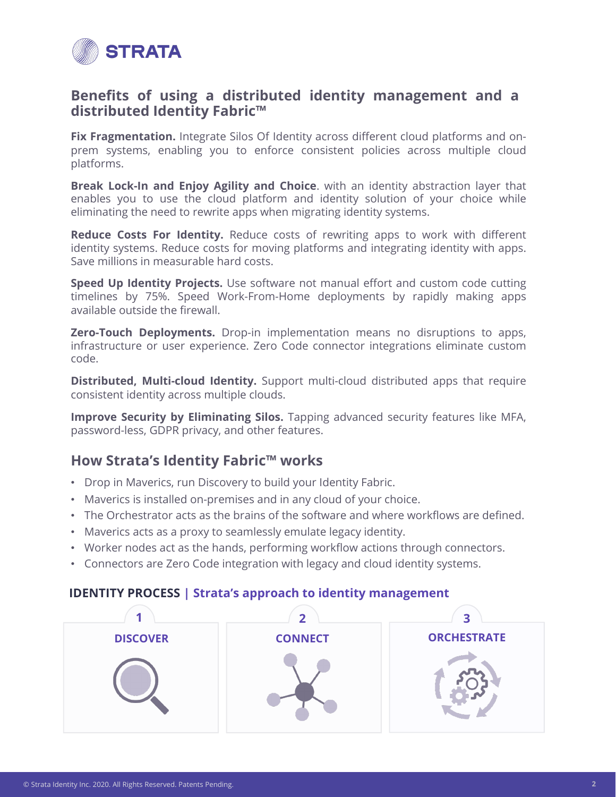

### **Benefits of using a distributed identity management and a distributed Identity Fabric™**

**Fix Fragmentation.** Integrate Silos Of Identity across different cloud platforms and onprem systems, enabling you to enforce consistent policies across multiple cloud platforms.

**Break Lock-In and Enjoy Agility and Choice**. with an identity abstraction layer that enables you to use the cloud platform and identity solution of your choice while eliminating the need to rewrite apps when migrating identity systems.

**Reduce Costs For Identity.** Reduce costs of rewriting apps to work with different identity systems. Reduce costs for moving platforms and integrating identity with apps. Save millions in measurable hard costs.

**Speed Up Identity Projects.** Use software not manual effort and custom code cutting timelines by 75%. Speed Work-From-Home deployments by rapidly making apps available outside the firewall.

**Zero-Touch Deployments.** Drop-in implementation means no disruptions to apps, infrastructure or user experience. Zero Code connector integrations eliminate custom code.

**Distributed, Multi-cloud Identity.** Support multi-cloud distributed apps that require consistent identity across multiple clouds.

**Improve Security by Eliminating Silos.** Tapping advanced security features like MFA, password-less, GDPR privacy, and other features.

# **How Strata's Identity Fabric™ works**

- Drop in Maverics, run Discovery to build your Identity Fabric.
- Maverics is installed on-premises and in any cloud of your choice.
- The Orchestrator acts as the brains of the software and where workflows are defined.
- Maverics acts as a proxy to seamlessly emulate legacy identity.
- Worker nodes act as the hands, performing workflow actions through connectors.
- Connectors are Zero Code integration with legacy and cloud identity systems.

#### **IDENTITY PROCESS | Strata's approach to identity management**